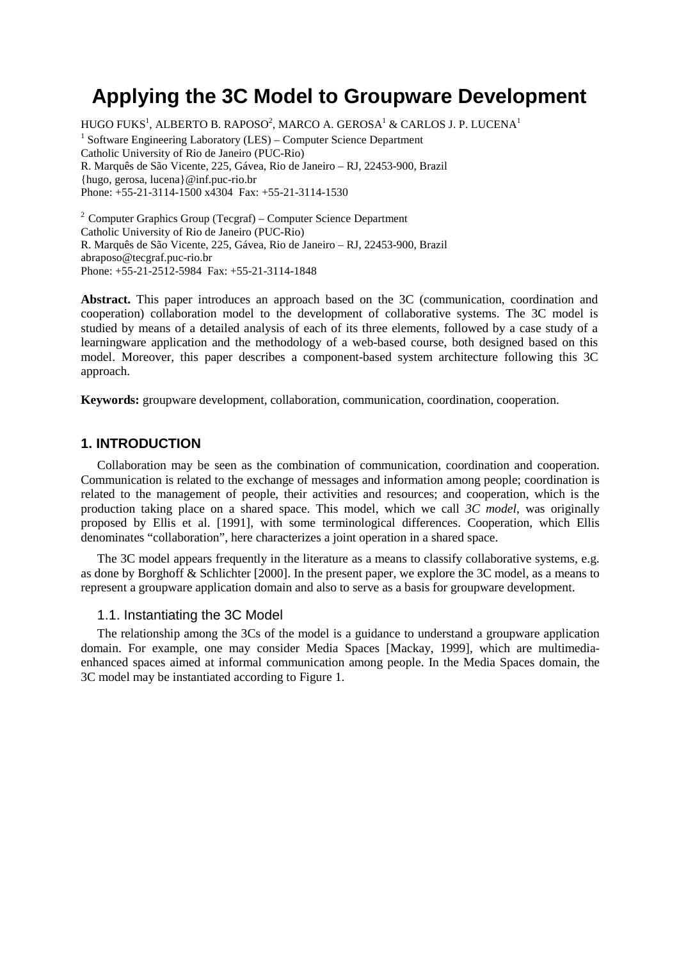# **Applying the 3C Model to Groupware Development**

HUGO FUKS $^{\rm l}$ , ALBERTO B. RAPOSO $^{\rm 2}$ , MARCO A. GEROSA $^{\rm l}$  & CARLOS J. P. LUCENA $^{\rm l}$ <sup>1</sup> Software Engineering Laboratory (LES) – Computer Science Department Catholic University of Rio de Janeiro (PUC-Rio) R. Marquês de São Vicente, 225, Gávea, Rio de Janeiro – RJ, 22453-900, Brazil {hugo, gerosa, lucena}@inf.puc-rio.br Phone: +55-21-3114-1500 x4304 Fax: +55-21-3114-1530

 $2$  Computer Graphics Group (Tecgraf) – Computer Science Department Catholic University of Rio de Janeiro (PUC-Rio) R. Marquês de São Vicente, 225, Gávea, Rio de Janeiro – RJ, 22453-900, Brazil abraposo@tecgraf.puc-rio.br Phone: +55-21-2512-5984 Fax: +55-21-3114-1848

**Abstract.** This paper introduces an approach based on the 3C (communication, coordination and cooperation) collaboration model to the development of collaborative systems. The 3C model is studied by means of a detailed analysis of each of its three elements, followed by a case study of a learningware application and the methodology of a web-based course, both designed based on this model. Moreover, this paper describes a component-based system architecture following this 3C approach.

**Keywords:** groupware development, collaboration, communication, coordination, cooperation.

# **1. INTRODUCTION**

Collaboration may be seen as the combination of communication, coordination and cooperation. Communication is related to the exchange of messages and information among people; coordination is related to the management of people, their activities and resources; and cooperation, which is the production taking place on a shared space. This model, which we call *3C model*, was originally proposed by Ellis et al. [1991], with some terminological differences. Cooperation, which Ellis denominates "collaboration", here characterizes a joint operation in a shared space.

The 3C model appears frequently in the literature as a means to classify collaborative systems, e.g. as done by Borghoff & Schlichter [2000]. In the present paper, we explore the 3C model, as a means to represent a groupware application domain and also to serve as a basis for groupware development.

## 1.1. Instantiating the 3C Model

The relationship among the 3Cs of the model is a guidance to understand a groupware application domain. For example, one may consider Media Spaces [Mackay, 1999], which are multimediaenhanced spaces aimed at informal communication among people. In the Media Spaces domain, the 3C model may be instantiated according to Figure 1.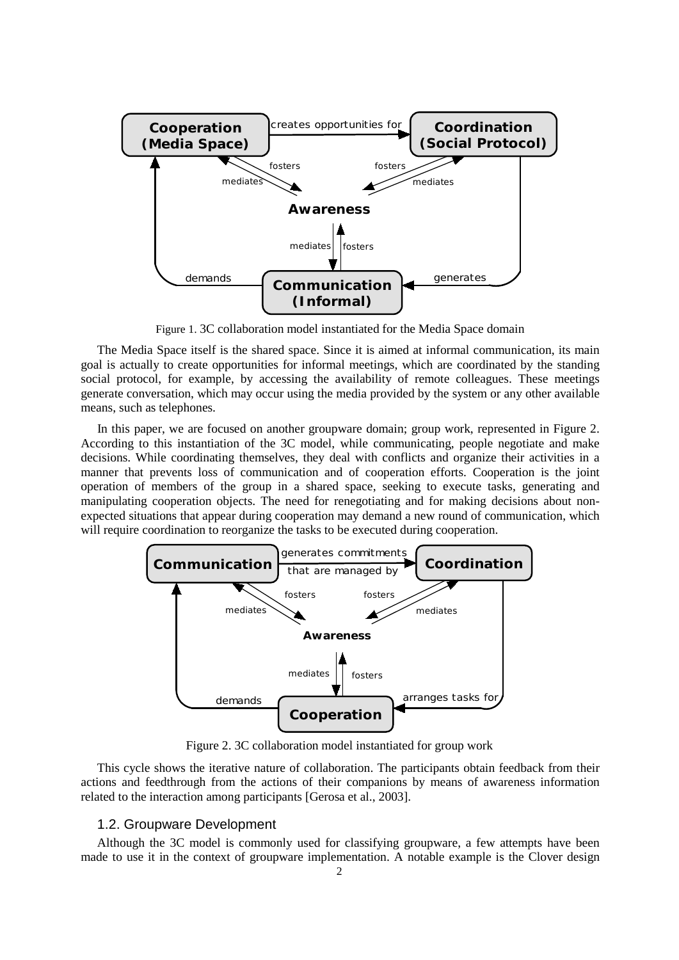

Figure 1. 3C collaboration model instantiated for the Media Space domain

The Media Space itself is the shared space. Since it is aimed at informal communication, its main goal is actually to create opportunities for informal meetings, which are coordinated by the standing social protocol, for example, by accessing the availability of remote colleagues. These meetings generate conversation, which may occur using the media provided by the system or any other available means, such as telephones.

In this paper, we are focused on another groupware domain; group work, represented in Figure 2. According to this instantiation of the 3C model, while communicating, people negotiate and make decisions. While coordinating themselves, they deal with conflicts and organize their activities in a manner that prevents loss of communication and of cooperation efforts. Cooperation is the joint operation of members of the group in a shared space, seeking to execute tasks, generating and manipulating cooperation objects. The need for renegotiating and for making decisions about nonexpected situations that appear during cooperation may demand a new round of communication, which will require coordination to reorganize the tasks to be executed during cooperation.



Figure 2. 3C collaboration model instantiated for group work

This cycle shows the iterative nature of collaboration. The participants obtain feedback from their actions and feedthrough from the actions of their companions by means of awareness information related to the interaction among participants [Gerosa et al., 2003].

#### 1.2. Groupware Development

Although the 3C model is commonly used for classifying groupware, a few attempts have been made to use it in the context of groupware implementation. A notable example is the Clover design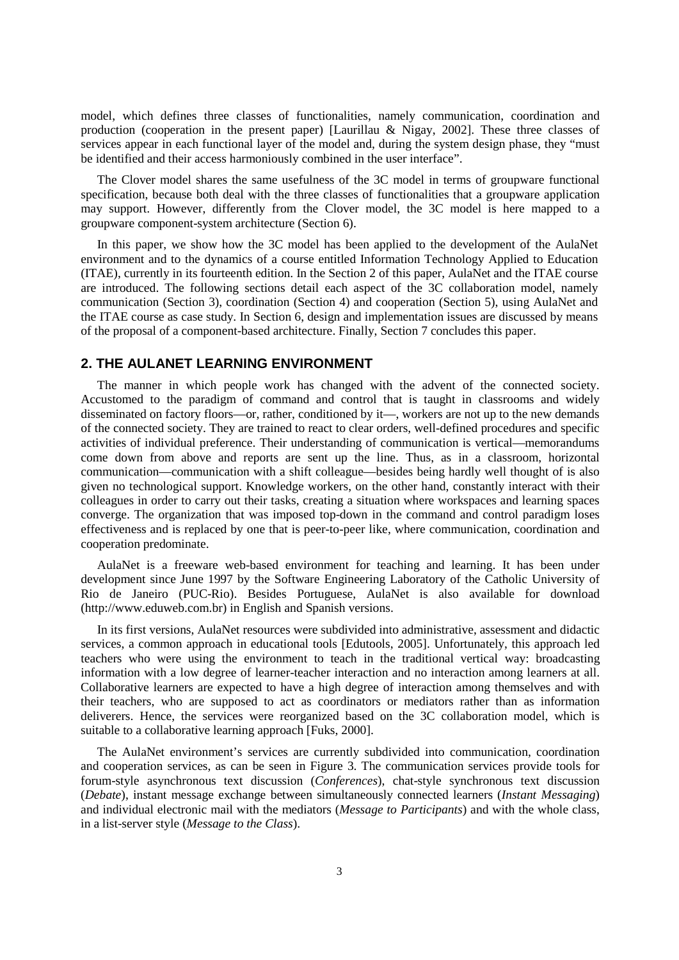model, which defines three classes of functionalities, namely communication, coordination and production (cooperation in the present paper) [Laurillau & Nigay, 2002]. These three classes of services appear in each functional layer of the model and, during the system design phase, they "must be identified and their access harmoniously combined in the user interface".

The Clover model shares the same usefulness of the 3C model in terms of groupware functional specification, because both deal with the three classes of functionalities that a groupware application may support. However, differently from the Clover model, the 3C model is here mapped to a groupware component-system architecture (Section 6).

In this paper, we show how the 3C model has been applied to the development of the AulaNet environment and to the dynamics of a course entitled Information Technology Applied to Education (ITAE), currently in its fourteenth edition. In the Section 2 of this paper, AulaNet and the ITAE course are introduced. The following sections detail each aspect of the 3C collaboration model, namely communication (Section 3), coordination (Section 4) and cooperation (Section 5), using AulaNet and the ITAE course as case study. In Section 6, design and implementation issues are discussed by means of the proposal of a component-based architecture. Finally, Section 7 concludes this paper.

#### **2. THE AULANET LEARNING ENVIRONMENT**

The manner in which people work has changed with the advent of the connected society. Accustomed to the paradigm of command and control that is taught in classrooms and widely disseminated on factory floors—or, rather, conditioned by it—, workers are not up to the new demands of the connected society. They are trained to react to clear orders, well-defined procedures and specific activities of individual preference. Their understanding of communication is vertical—memorandums come down from above and reports are sent up the line. Thus, as in a classroom, horizontal communication—communication with a shift colleague—besides being hardly well thought of is also given no technological support. Knowledge workers, on the other hand, constantly interact with their colleagues in order to carry out their tasks, creating a situation where workspaces and learning spaces converge. The organization that was imposed top-down in the command and control paradigm loses effectiveness and is replaced by one that is peer-to-peer like, where communication, coordination and cooperation predominate.

AulaNet is a freeware web-based environment for teaching and learning. It has been under development since June 1997 by the Software Engineering Laboratory of the Catholic University of Rio de Janeiro (PUC-Rio). Besides Portuguese, AulaNet is also available for download (http://www.eduweb.com.br) in English and Spanish versions.

In its first versions, AulaNet resources were subdivided into administrative, assessment and didactic services, a common approach in educational tools [Edutools, 2005]. Unfortunately, this approach led teachers who were using the environment to teach in the traditional vertical way: broadcasting information with a low degree of learner-teacher interaction and no interaction among learners at all. Collaborative learners are expected to have a high degree of interaction among themselves and with their teachers, who are supposed to act as coordinators or mediators rather than as information deliverers. Hence, the services were reorganized based on the 3C collaboration model, which is suitable to a collaborative learning approach [Fuks, 2000].

The AulaNet environment's services are currently subdivided into communication, coordination and cooperation services, as can be seen in [Figure 3.](#page-3-0) The communication services provide tools for forum-style asynchronous text discussion (*Conferences*), chat-style synchronous text discussion (*Debate*), instant message exchange between simultaneously connected learners (*Instant Messaging*) and individual electronic mail with the mediators (*Message to Participants*) and with the whole class, in a list-server style (*Message to the Class*).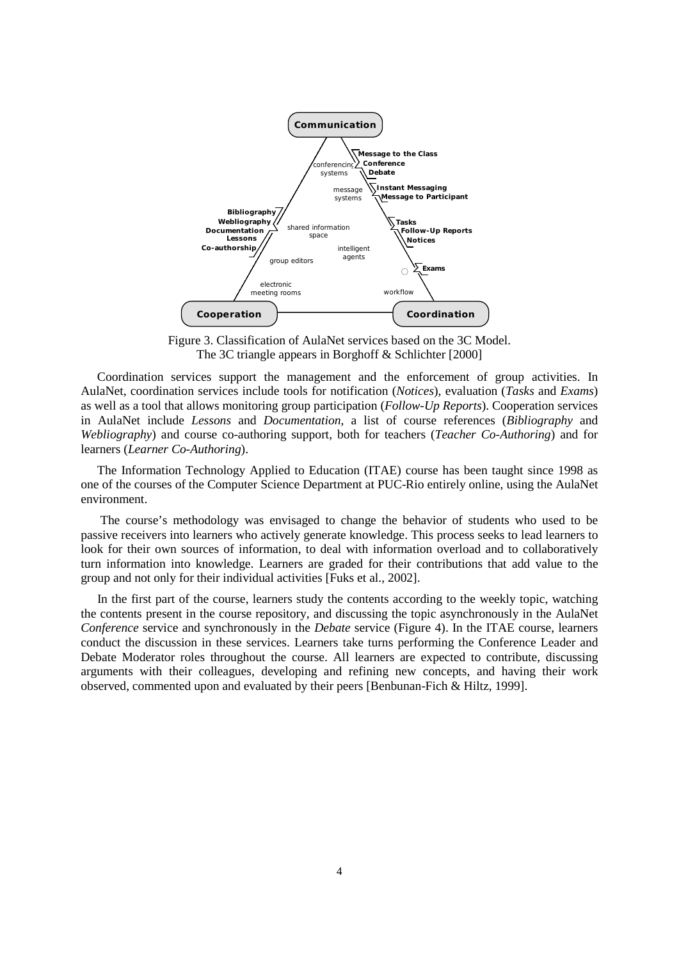

Figure 3. Classification of AulaNet services based on the 3C Model. The 3C triangle appears in Borghoff & Schlichter [2000]

<span id="page-3-0"></span>Coordination services support the management and the enforcement of group activities. In AulaNet, coordination services include tools for notification (*Notices*), evaluation (*Tasks* and *Exams*) as well as a tool that allows monitoring group participation (*Follow-Up Reports*). Cooperation services in AulaNet include *Lessons* and *Documentation*, a list of course references (*Bibliography* and *Webliography*) and course co-authoring support, both for teachers (*Teacher Co-Authoring*) and for learners (*Learner Co-Authoring*).

The Information Technology Applied to Education (ITAE) course has been taught since 1998 as one of the courses of the Computer Science Department at PUC-Rio entirely online, using the AulaNet environment.

The course's methodology was envisaged to change the behavior of students who used to be passive receivers into learners who actively generate knowledge. This process seeks to lead learners to look for their own sources of information, to deal with information overload and to collaboratively turn information into knowledge. Learners are graded for their contributions that add value to the group and not only for their individual activities [Fuks et al., 2002].

In the first part of the course, learners study the contents according to the weekly topic, watching the contents present in the course repository, and discussing the topic asynchronously in the AulaNet *Conference* service and synchronously in the *Debate* service [\(Figure 4\)](#page-4-0). In the ITAE course, learners conduct the discussion in these services. Learners take turns performing the Conference Leader and Debate Moderator roles throughout the course. All learners are expected to contribute, discussing arguments with their colleagues, developing and refining new concepts, and having their work observed, commented upon and evaluated by their peers [Benbunan-Fich & Hiltz, 1999].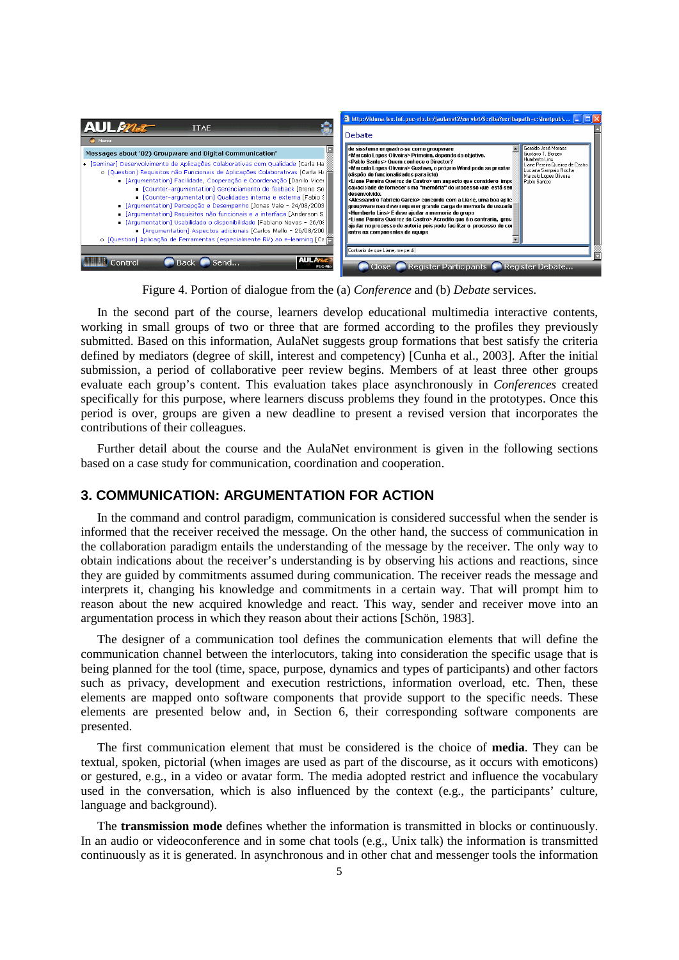

Figure 4. Portion of dialogue from the (a) *Conference* and (b) *Debate* services.

<span id="page-4-0"></span>In the second part of the course, learners develop educational multimedia interactive contents, working in small groups of two or three that are formed according to the profiles they previously submitted. Based on this information, AulaNet suggests group formations that best satisfy the criteria defined by mediators (degree of skill, interest and competency) [Cunha et al., 2003]. After the initial submission, a period of collaborative peer review begins. Members of at least three other groups evaluate each group's content. This evaluation takes place asynchronously in *Conferences* created specifically for this purpose, where learners discuss problems they found in the prototypes. Once this period is over, groups are given a new deadline to present a revised version that incorporates the contributions of their colleagues.

Further detail about the course and the AulaNet environment is given in the following sections based on a case study for communication, coordination and cooperation.

## **3. COMMUNICATION: ARGUMENTATION FOR ACTION**

In the command and control paradigm, communication is considered successful when the sender is informed that the receiver received the message. On the other hand, the success of communication in the collaboration paradigm entails the understanding of the message by the receiver. The only way to obtain indications about the receiver's understanding is by observing his actions and reactions, since they are guided by commitments assumed during communication. The receiver reads the message and interprets it, changing his knowledge and commitments in a certain way. That will prompt him to reason about the new acquired knowledge and react. This way, sender and receiver move into an argumentation process in which they reason about their actions [Schön, 1983].

The designer of a communication tool defines the communication elements that will define the communication channel between the interlocutors, taking into consideration the specific usage that is being planned for the tool (time, space, purpose, dynamics and types of participants) and other factors such as privacy, development and execution restrictions, information overload, etc. Then, these elements are mapped onto software components that provide support to the specific needs. These elements are presented below and, in Section 6, their corresponding software components are presented.

The first communication element that must be considered is the choice of **media**. They can be textual, spoken, pictorial (when images are used as part of the discourse, as it occurs with emoticons) or gestured, e.g., in a video or avatar form. The media adopted restrict and influence the vocabulary used in the conversation, which is also influenced by the context (e.g., the participants' culture, language and background).

The **transmission mode** defines whether the information is transmitted in blocks or continuously. In an audio or videoconference and in some chat tools (e.g., Unix talk) the information is transmitted continuously as it is generated. In asynchronous and in other chat and messenger tools the information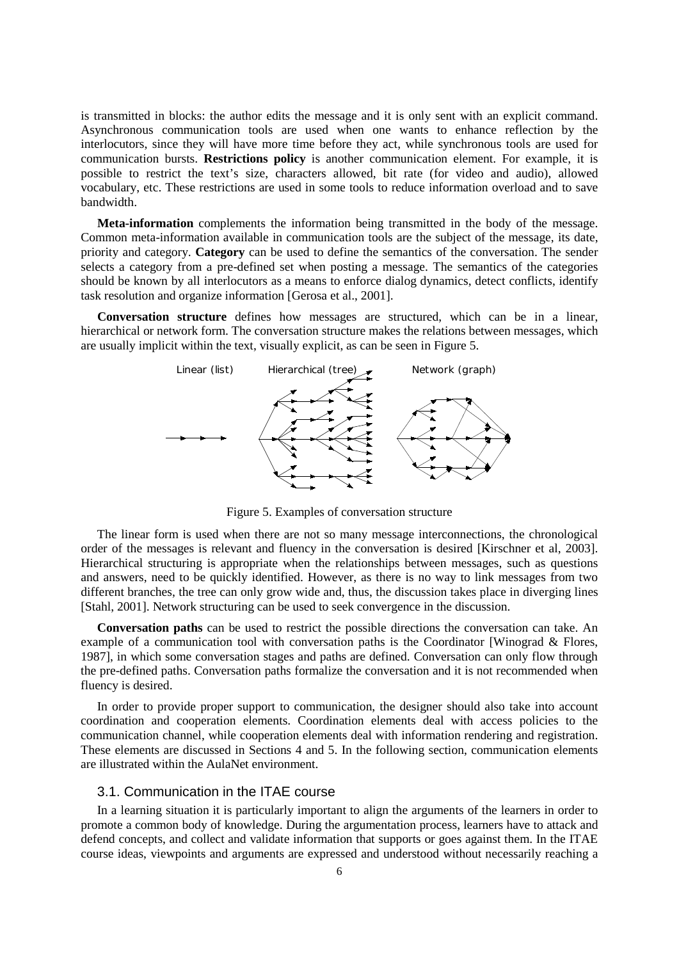is transmitted in blocks: the author edits the message and it is only sent with an explicit command. Asynchronous communication tools are used when one wants to enhance reflection by the interlocutors, since they will have more time before they act, while synchronous tools are used for communication bursts. **Restrictions policy** is another communication element. For example, it is possible to restrict the text's size, characters allowed, bit rate (for video and audio), allowed vocabulary, etc. These restrictions are used in some tools to reduce information overload and to save bandwidth.

**Meta-information** complements the information being transmitted in the body of the message. Common meta-information available in communication tools are the subject of the message, its date, priority and category. **Category** can be used to define the semantics of the conversation. The sender selects a category from a pre-defined set when posting a message. The semantics of the categories should be known by all interlocutors as a means to enforce dialog dynamics, detect conflicts, identify task resolution and organize information [Gerosa et al., 2001].

**Conversation structure** defines how messages are structured, which can be in a linear, hierarchical or network form. The conversation structure makes the relations between messages, which are usually implicit within the text, visually explicit, as can be seen in [Figure 5.](#page-5-0)



Figure 5. Examples of conversation structure

<span id="page-5-0"></span>The linear form is used when there are not so many message interconnections, the chronological order of the messages is relevant and fluency in the conversation is desired [Kirschner et al, 2003]. Hierarchical structuring is appropriate when the relationships between messages, such as questions and answers, need to be quickly identified. However, as there is no way to link messages from two different branches, the tree can only grow wide and, thus, the discussion takes place in diverging lines [Stahl, 2001]. Network structuring can be used to seek convergence in the discussion.

**Conversation paths** can be used to restrict the possible directions the conversation can take. An example of a communication tool with conversation paths is the Coordinator [Winograd & Flores, 1987], in which some conversation stages and paths are defined. Conversation can only flow through the pre-defined paths. Conversation paths formalize the conversation and it is not recommended when fluency is desired.

In order to provide proper support to communication, the designer should also take into account coordination and cooperation elements. Coordination elements deal with access policies to the communication channel, while cooperation elements deal with information rendering and registration. These elements are discussed in Sections 4 and 5. In the following section, communication elements are illustrated within the AulaNet environment.

## 3.1. Communication in the ITAE course

In a learning situation it is particularly important to align the arguments of the learners in order to promote a common body of knowledge. During the argumentation process, learners have to attack and defend concepts, and collect and validate information that supports or goes against them. In the ITAE course ideas, viewpoints and arguments are expressed and understood without necessarily reaching a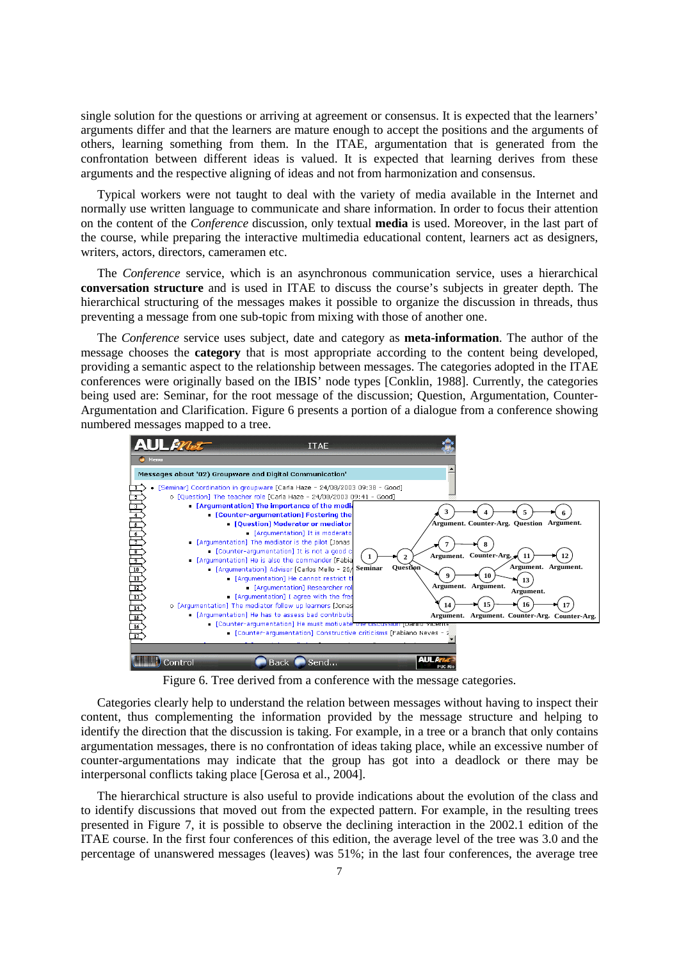single solution for the questions or arriving at agreement or consensus. It is expected that the learners' arguments differ and that the learners are mature enough to accept the positions and the arguments of others, learning something from them. In the ITAE, argumentation that is generated from the confrontation between different ideas is valued. It is expected that learning derives from these arguments and the respective aligning of ideas and not from harmonization and consensus.

Typical workers were not taught to deal with the variety of media available in the Internet and normally use written language to communicate and share information. In order to focus their attention on the content of the *Conference* discussion, only textual **media** is used. Moreover, in the last part of the course, while preparing the interactive multimedia educational content, learners act as designers, writers, actors, directors, cameramen etc.

The *Conference* service, which is an asynchronous communication service, uses a hierarchical **conversation structure** and is used in ITAE to discuss the course's subjects in greater depth. The hierarchical structuring of the messages makes it possible to organize the discussion in threads, thus preventing a message from one sub-topic from mixing with those of another one.

The *Conference* service uses subject, date and category as **meta-information**. The author of the message chooses the **category** that is most appropriate according to the content being developed, providing a semantic aspect to the relationship between messages. The categories adopted in the ITAE conferences were originally based on the IBIS' node types [Conklin, 1988]. Currently, the categories being used are: Seminar, for the root message of the discussion; Question, Argumentation, Counter-Argumentation and Clarification. [Figure 6](#page-6-0) presents a portion of a dialogue from a conference showing numbered messages mapped to a tree.



Figure 6. Tree derived from a conference with the message categories.

<span id="page-6-0"></span>Categories clearly help to understand the relation between messages without having to inspect their content, thus complementing the information provided by the message structure and helping to identify the direction that the discussion is taking. For example, in a tree or a branch that only contains argumentation messages, there is no confrontation of ideas taking place, while an excessive number of counter-argumentations may indicate that the group has got into a deadlock or there may be interpersonal conflicts taking place [Gerosa et al., 2004].

The hierarchical structure is also useful to provide indications about the evolution of the class and to identify discussions that moved out from the expected pattern. For example, in the resulting trees presented in [Figure 7,](#page-7-0) it is possible to observe the declining interaction in the 2002.1 edition of the ITAE course. In the first four conferences of this edition, the average level of the tree was 3.0 and the percentage of unanswered messages (leaves) was 51%; in the last four conferences, the average tree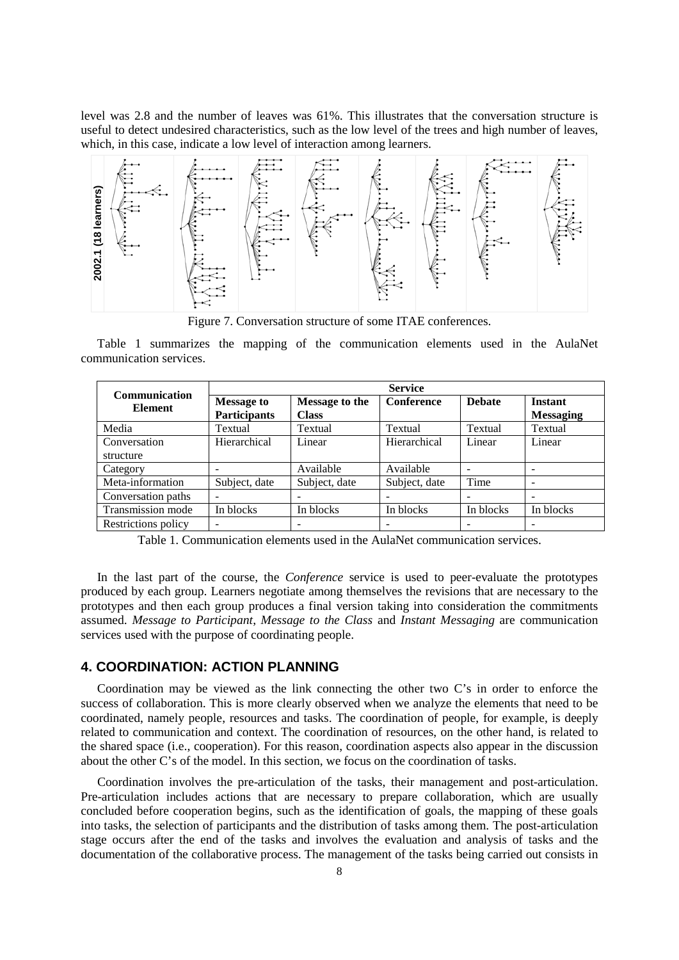level was 2.8 and the number of leaves was 61%. This illustrates that the conversation structure is useful to detect undesired characteristics, such as the low level of the trees and high number of leaves, which, in this case, indicate a low level of interaction among learners.



Figure 7. Conversation structure of some ITAE conferences.

<span id="page-7-0"></span>[Table 1](#page-7-1) summarizes the mapping of the communication elements used in the AulaNet communication services.

| <b>Communication</b><br><b>Element</b> | <b>Service</b>      |                |                   |               |                          |
|----------------------------------------|---------------------|----------------|-------------------|---------------|--------------------------|
|                                        | <b>Message to</b>   | Message to the | <b>Conference</b> | <b>Debate</b> | <b>Instant</b>           |
|                                        | <b>Participants</b> | <b>Class</b>   |                   |               | <b>Messaging</b>         |
| Media                                  | Textual             | Textual        | Textual           | Textual       | Textual                  |
| Conversation                           | Hierarchical        | Linear         | Hierarchical      | Linear        | Linear                   |
| structure                              |                     |                |                   |               |                          |
| Category                               |                     | Available      | Available         |               | $\overline{\phantom{0}}$ |
| Meta-information                       | Subject, date       | Subject, date  | Subject, date     | Time          | $\overline{\phantom{0}}$ |
| Conversation paths                     |                     |                |                   |               | $\overline{\phantom{0}}$ |
| Transmission mode                      | In blocks           | In blocks      | In blocks         | In blocks     | In blocks                |
| Restrictions policy                    |                     |                |                   |               |                          |

Table 1. Communication elements used in the AulaNet communication services.

<span id="page-7-1"></span>In the last part of the course, the *Conference* service is used to peer-evaluate the prototypes produced by each group. Learners negotiate among themselves the revisions that are necessary to the prototypes and then each group produces a final version taking into consideration the commitments assumed. *Message to Participant*, *Message to the Class* and *Instant Messaging* are communication services used with the purpose of coordinating people.

## **4. COORDINATION: ACTION PLANNING**

Coordination may be viewed as the link connecting the other two C's in order to enforce the success of collaboration. This is more clearly observed when we analyze the elements that need to be coordinated, namely people, resources and tasks. The coordination of people, for example, is deeply related to communication and context. The coordination of resources, on the other hand, is related to the shared space (i.e., cooperation). For this reason, coordination aspects also appear in the discussion about the other C's of the model. In this section, we focus on the coordination of tasks.

Coordination involves the pre-articulation of the tasks, their management and post-articulation. Pre-articulation includes actions that are necessary to prepare collaboration, which are usually concluded before cooperation begins, such as the identification of goals, the mapping of these goals into tasks, the selection of participants and the distribution of tasks among them. The post-articulation stage occurs after the end of the tasks and involves the evaluation and analysis of tasks and the documentation of the collaborative process. The management of the tasks being carried out consists in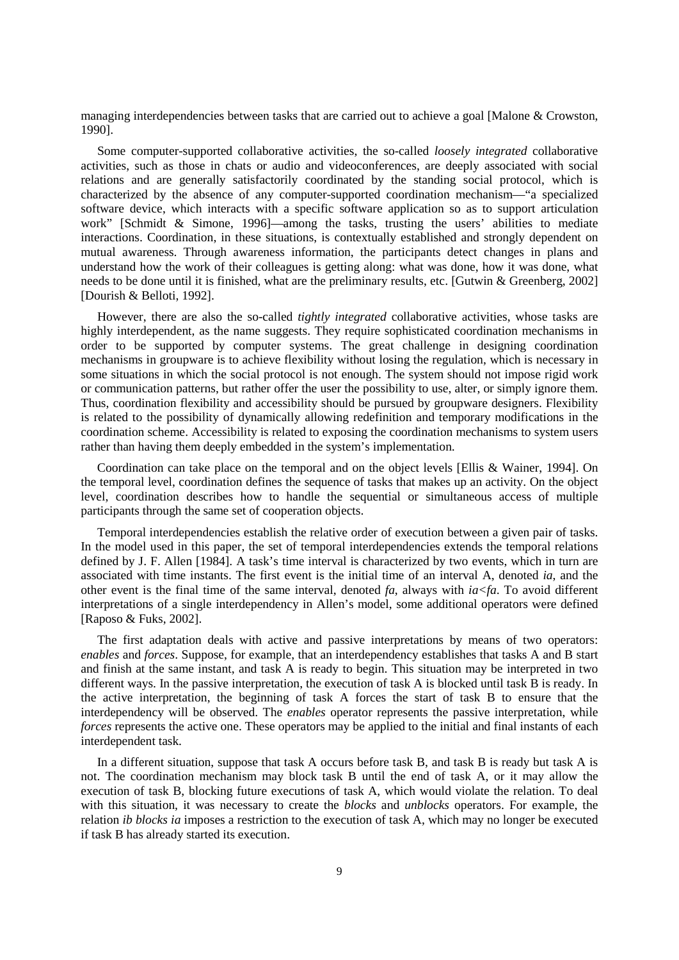managing interdependencies between tasks that are carried out to achieve a goal [Malone & Crowston, 1990].

Some computer-supported collaborative activities, the so-called *loosely integrated* collaborative activities, such as those in chats or audio and videoconferences, are deeply associated with social relations and are generally satisfactorily coordinated by the standing social protocol, which is characterized by the absence of any computer-supported coordination mechanism—"a specialized software device, which interacts with a specific software application so as to support articulation work" [Schmidt & Simone, 1996]—among the tasks, trusting the users' abilities to mediate interactions. Coordination, in these situations, is contextually established and strongly dependent on mutual awareness. Through awareness information, the participants detect changes in plans and understand how the work of their colleagues is getting along: what was done, how it was done, what needs to be done until it is finished, what are the preliminary results, etc. [Gutwin & Greenberg, 2002] [Dourish & Belloti, 1992].

However, there are also the so-called *tightly integrated* collaborative activities, whose tasks are highly interdependent, as the name suggests. They require sophisticated coordination mechanisms in order to be supported by computer systems. The great challenge in designing coordination mechanisms in groupware is to achieve flexibility without losing the regulation, which is necessary in some situations in which the social protocol is not enough. The system should not impose rigid work or communication patterns, but rather offer the user the possibility to use, alter, or simply ignore them. Thus, coordination flexibility and accessibility should be pursued by groupware designers. Flexibility is related to the possibility of dynamically allowing redefinition and temporary modifications in the coordination scheme. Accessibility is related to exposing the coordination mechanisms to system users rather than having them deeply embedded in the system's implementation.

Coordination can take place on the temporal and on the object levels [Ellis & Wainer, 1994]. On the temporal level, coordination defines the sequence of tasks that makes up an activity. On the object level, coordination describes how to handle the sequential or simultaneous access of multiple participants through the same set of cooperation objects.

Temporal interdependencies establish the relative order of execution between a given pair of tasks. In the model used in this paper, the set of temporal interdependencies extends the temporal relations defined by J. F. Allen [1984]. A task's time interval is characterized by two events, which in turn are associated with time instants. The first event is the initial time of an interval A, denoted *ia*, and the other event is the final time of the same interval, denoted *fa*, always with *ia<fa*. To avoid different interpretations of a single interdependency in Allen's model, some additional operators were defined [Raposo & Fuks, 2002].

The first adaptation deals with active and passive interpretations by means of two operators: *enables* and *forces*. Suppose, for example, that an interdependency establishes that tasks A and B start and finish at the same instant, and task A is ready to begin. This situation may be interpreted in two different ways. In the passive interpretation, the execution of task A is blocked until task B is ready. In the active interpretation, the beginning of task A forces the start of task B to ensure that the interdependency will be observed. The *enables* operator represents the passive interpretation, while *forces* represents the active one. These operators may be applied to the initial and final instants of each interdependent task.

In a different situation, suppose that task A occurs before task B, and task B is ready but task A is not. The coordination mechanism may block task B until the end of task A, or it may allow the execution of task B, blocking future executions of task A, which would violate the relation. To deal with this situation, it was necessary to create the *blocks* and *unblocks* operators. For example, the relation *ib blocks ia* imposes a restriction to the execution of task A, which may no longer be executed if task B has already started its execution.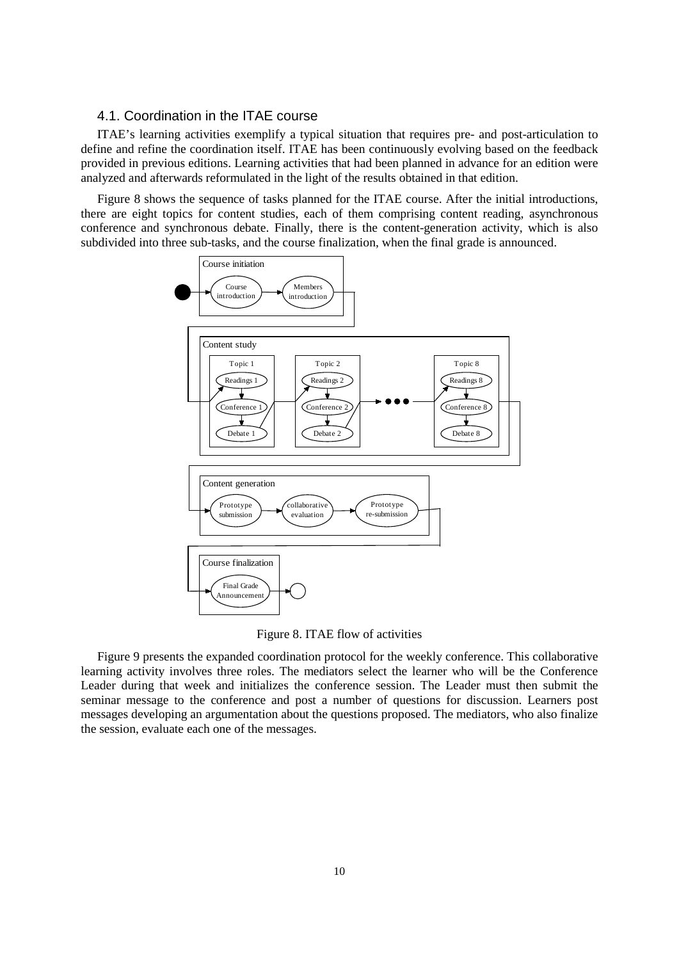#### 4.1. Coordination in the ITAE course

ITAE's learning activities exemplify a typical situation that requires pre- and post-articulation to define and refine the coordination itself. ITAE has been continuously evolving based on the feedback provided in previous editions. Learning activities that had been planned in advance for an edition were analyzed and afterwards reformulated in the light of the results obtained in that edition.

[Figure 8](#page-9-0) shows the sequence of tasks planned for the ITAE course. After the initial introductions, there are eight topics for content studies, each of them comprising content reading, asynchronous conference and synchronous debate. Finally, there is the content-generation activity, which is also subdivided into three sub-tasks, and the course finalization, when the final grade is announced.



Figure 8. ITAE flow of activities

<span id="page-9-0"></span>[Figure 9](#page-10-0) presents the expanded coordination protocol for the weekly conference. This collaborative learning activity involves three roles. The mediators select the learner who will be the Conference Leader during that week and initializes the conference session. The Leader must then submit the seminar message to the conference and post a number of questions for discussion. Learners post messages developing an argumentation about the questions proposed. The mediators, who also finalize the session, evaluate each one of the messages.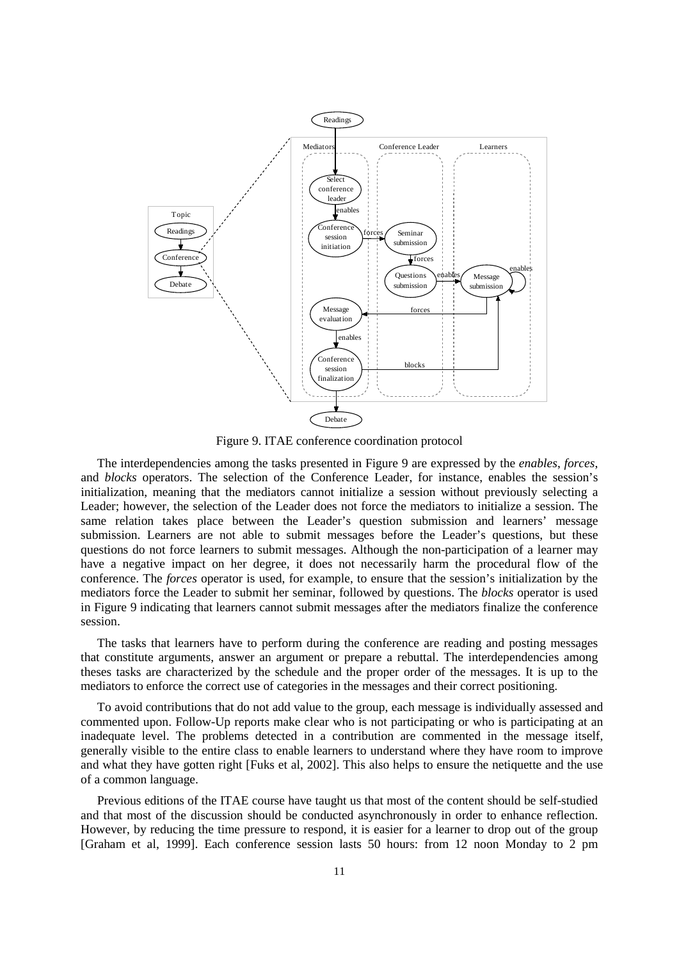

Figure 9. ITAE conference coordination protocol

<span id="page-10-0"></span>The interdependencies among the tasks presented in [Figure 9](#page-10-0) are expressed by the *enables*, *forces*, and *blocks* operators. The selection of the Conference Leader, for instance, enables the session's initialization, meaning that the mediators cannot initialize a session without previously selecting a Leader; however, the selection of the Leader does not force the mediators to initialize a session. The same relation takes place between the Leader's question submission and learners' message submission. Learners are not able to submit messages before the Leader's questions, but these questions do not force learners to submit messages. Although the non-participation of a learner may have a negative impact on her degree, it does not necessarily harm the procedural flow of the conference. The *forces* operator is used, for example, to ensure that the session's initialization by the mediators force the Leader to submit her seminar, followed by questions. The *blocks* operator is used in [Figure 9](#page-10-0) indicating that learners cannot submit messages after the mediators finalize the conference session.

The tasks that learners have to perform during the conference are reading and posting messages that constitute arguments, answer an argument or prepare a rebuttal. The interdependencies among theses tasks are characterized by the schedule and the proper order of the messages. It is up to the mediators to enforce the correct use of categories in the messages and their correct positioning.

To avoid contributions that do not add value to the group, each message is individually assessed and commented upon. Follow-Up reports make clear who is not participating or who is participating at an inadequate level. The problems detected in a contribution are commented in the message itself, generally visible to the entire class to enable learners to understand where they have room to improve and what they have gotten right [Fuks et al, 2002]. This also helps to ensure the netiquette and the use of a common language.

Previous editions of the ITAE course have taught us that most of the content should be self-studied and that most of the discussion should be conducted asynchronously in order to enhance reflection. However, by reducing the time pressure to respond, it is easier for a learner to drop out of the group [Graham et al, 1999]. Each conference session lasts 50 hours: from 12 noon Monday to 2 pm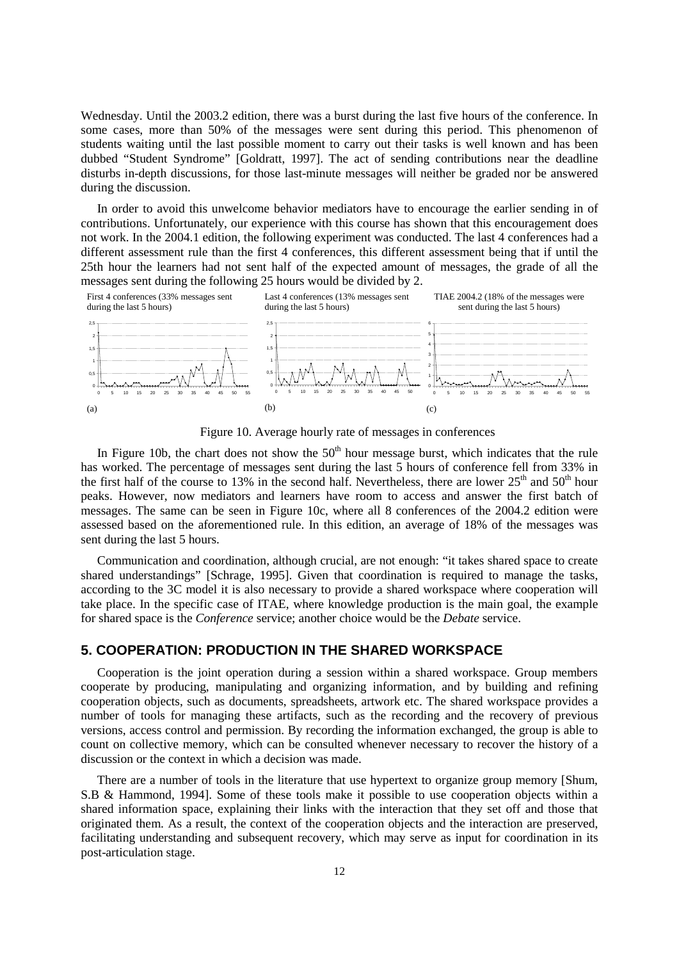Wednesday. Until the 2003.2 edition, there was a burst during the last five hours of the conference. In some cases, more than 50% of the messages were sent during this period. This phenomenon of students waiting until the last possible moment to carry out their tasks is well known and has been dubbed "Student Syndrome" [Goldratt, 1997]. The act of sending contributions near the deadline disturbs in-depth discussions, for those last-minute messages will neither be graded nor be answered during the discussion.

In order to avoid this unwelcome behavior mediators have to encourage the earlier sending in of contributions. Unfortunately, our experience with this course has shown that this encouragement does not work. In the 2004.1 edition, the following experiment was conducted. The last 4 conferences had a different assessment rule than the first 4 conferences, this different assessment being that if until the 25th hour the learners had not sent half of the expected amount of messages, the grade of all the messages sent during the following 25 hours would be divided by 2.



Figure 10. Average hourly rate of messages in conferences

<span id="page-11-0"></span>In [Figure 10b](#page-11-0), the chart does not show the  $50<sup>th</sup>$  hour message burst, which indicates that the rule has worked. The percentage of messages sent during the last 5 hours of conference fell from 33% in the first half of the course to 13% in the second half. Nevertheless, there are lower  $25<sup>th</sup>$  and  $50<sup>th</sup>$  hour peaks. However, now mediators and learners have room to access and answer the first batch of messages. The same can be seen in [Figure 10c](#page-11-0), where all 8 conferences of the 2004.2 edition were assessed based on the aforementioned rule. In this edition, an average of 18% of the messages was sent during the last 5 hours.

Communication and coordination, although crucial, are not enough: "it takes shared space to create shared understandings" [Schrage, 1995]. Given that coordination is required to manage the tasks, according to the 3C model it is also necessary to provide a shared workspace where cooperation will take place. In the specific case of ITAE, where knowledge production is the main goal, the example for shared space is the *Conference* service; another choice would be the *Debate* service.

## **5. COOPERATION: PRODUCTION IN THE SHARED WORKSPACE**

Cooperation is the joint operation during a session within a shared workspace. Group members cooperate by producing, manipulating and organizing information, and by building and refining cooperation objects, such as documents, spreadsheets, artwork etc. The shared workspace provides a number of tools for managing these artifacts, such as the recording and the recovery of previous versions, access control and permission. By recording the information exchanged, the group is able to count on collective memory, which can be consulted whenever necessary to recover the history of a discussion or the context in which a decision was made.

There are a number of tools in the literature that use hypertext to organize group memory [Shum, S.B & Hammond, 1994]. Some of these tools make it possible to use cooperation objects within a shared information space, explaining their links with the interaction that they set off and those that originated them. As a result, the context of the cooperation objects and the interaction are preserved, facilitating understanding and subsequent recovery, which may serve as input for coordination in its post-articulation stage.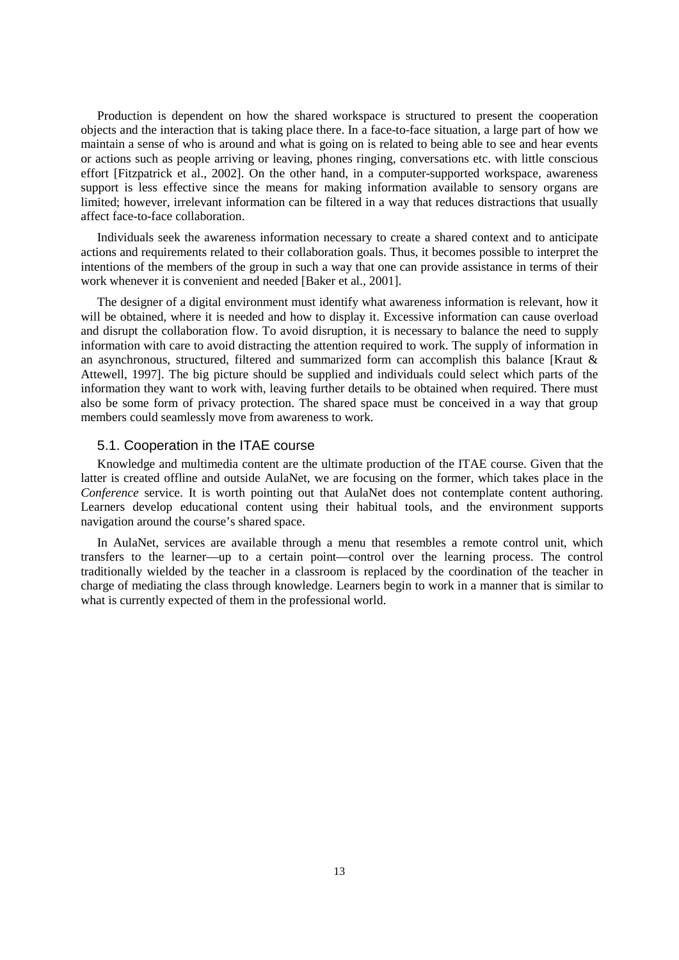Production is dependent on how the shared workspace is structured to present the cooperation objects and the interaction that is taking place there. In a face-to-face situation, a large part of how we maintain a sense of who is around and what is going on is related to being able to see and hear events or actions such as people arriving or leaving, phones ringing, conversations etc. with little conscious effort [Fitzpatrick et al., 2002]. On the other hand, in a computer-supported workspace, awareness support is less effective since the means for making information available to sensory organs are limited; however, irrelevant information can be filtered in a way that reduces distractions that usually affect face-to-face collaboration.

Individuals seek the awareness information necessary to create a shared context and to anticipate actions and requirements related to their collaboration goals. Thus, it becomes possible to interpret the intentions of the members of the group in such a way that one can provide assistance in terms of their work whenever it is convenient and needed [Baker et al., 2001].

The designer of a digital environment must identify what awareness information is relevant, how it will be obtained, where it is needed and how to display it. Excessive information can cause overload and disrupt the collaboration flow. To avoid disruption, it is necessary to balance the need to supply information with care to avoid distracting the attention required to work. The supply of information in an asynchronous, structured, filtered and summarized form can accomplish this balance [Kraut & Attewell, 1997]. The big picture should be supplied and individuals could select which parts of the information they want to work with, leaving further details to be obtained when required. There must also be some form of privacy protection. The shared space must be conceived in a way that group members could seamlessly move from awareness to work.

#### 5.1. Cooperation in the ITAE course

Knowledge and multimedia content are the ultimate production of the ITAE course. Given that the latter is created offline and outside AulaNet, we are focusing on the former, which takes place in the *Conference* service. It is worth pointing out that AulaNet does not contemplate content authoring. Learners develop educational content using their habitual tools, and the environment supports navigation around the course's shared space.

In AulaNet, services are available through a menu that resembles a remote control unit, which transfers to the learner—up to a certain point—control over the learning process. The control traditionally wielded by the teacher in a classroom is replaced by the coordination of the teacher in charge of mediating the class through knowledge. Learners begin to work in a manner that is similar to what is currently expected of them in the professional world.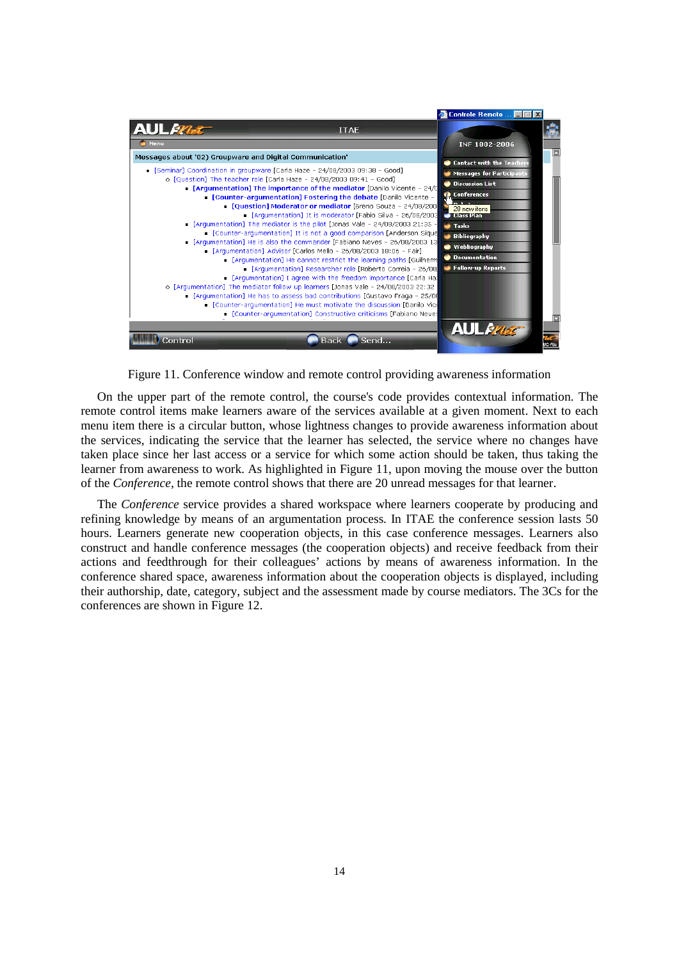

Figure 11. Conference window and remote control providing awareness information

<span id="page-13-0"></span>On the upper part of the remote control, the course's code provides contextual information. The remote control items make learners aware of the services available at a given moment. Next to each menu item there is a circular button, whose lightness changes to provide awareness information about the services, indicating the service that the learner has selected, the service where no changes have taken place since her last access or a service for which some action should be taken, thus taking the learner from awareness to work. As highlighted in [Figure 11,](#page-13-0) upon moving the mouse over the button of the *Conference*, the remote control shows that there are 20 unread messages for that learner.

The *Conference* service provides a shared workspace where learners cooperate by producing and refining knowledge by means of an argumentation process. In ITAE the conference session lasts 50 hours. Learners generate new cooperation objects, in this case conference messages. Learners also construct and handle conference messages (the cooperation objects) and receive feedback from their actions and feedthrough for their colleagues' actions by means of awareness information. In the conference shared space, awareness information about the cooperation objects is displayed, including their authorship, date, category, subject and the assessment made by course mediators. The 3Cs for the conferences are shown in [Figure 12.](#page-14-0)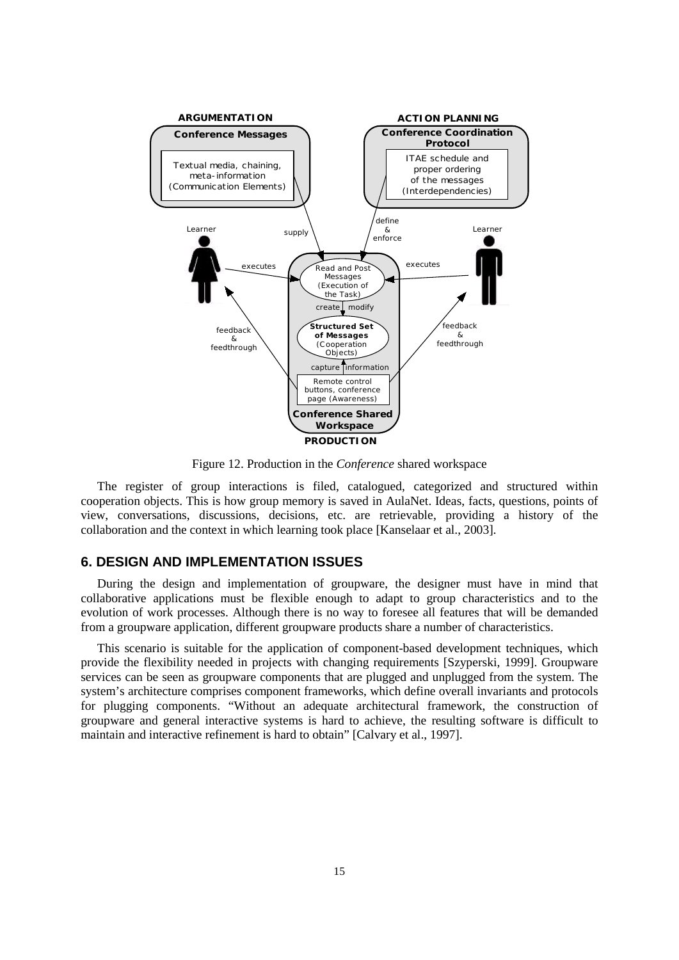

Figure 12. Production in the *Conference* shared workspace

<span id="page-14-0"></span>The register of group interactions is filed, catalogued, categorized and structured within cooperation objects. This is how group memory is saved in AulaNet. Ideas, facts, questions, points of view, conversations, discussions, decisions, etc. are retrievable, providing a history of the collaboration and the context in which learning took place [Kanselaar et al., 2003].

## **6. DESIGN AND IMPLEMENTATION ISSUES**

During the design and implementation of groupware, the designer must have in mind that collaborative applications must be flexible enough to adapt to group characteristics and to the evolution of work processes. Although there is no way to foresee all features that will be demanded from a groupware application, different groupware products share a number of characteristics.

This scenario is suitable for the application of component-based development techniques, which provide the flexibility needed in projects with changing requirements [Szyperski, 1999]. Groupware services can be seen as groupware components that are plugged and unplugged from the system. The system's architecture comprises component frameworks, which define overall invariants and protocols for plugging components. "Without an adequate architectural framework, the construction of groupware and general interactive systems is hard to achieve, the resulting software is difficult to maintain and interactive refinement is hard to obtain" [Calvary et al., 1997].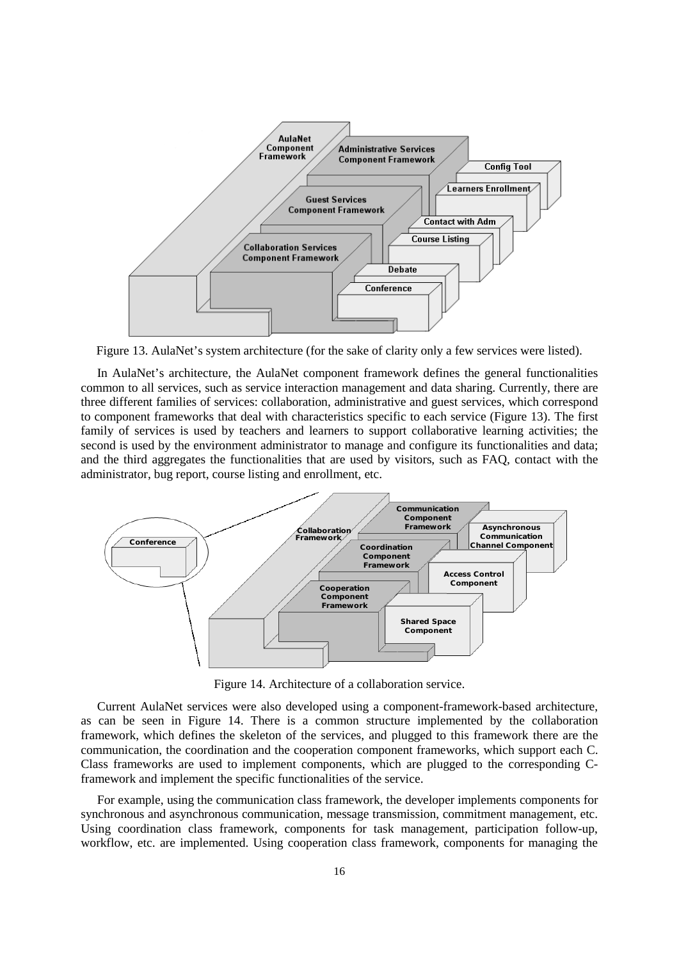

<span id="page-15-0"></span>Figure 13. AulaNet's system architecture (for the sake of clarity only a few services were listed).

In AulaNet's architecture, the AulaNet component framework defines the general functionalities common to all services, such as service interaction management and data sharing. Currently, there are three different families of services: collaboration, administrative and guest services, which correspond to component frameworks that deal with characteristics specific to each service [\(Figure 13\)](#page-15-0). The first family of services is used by teachers and learners to support collaborative learning activities; the second is used by the environment administrator to manage and configure its functionalities and data; and the third aggregates the functionalities that are used by visitors, such as FAQ, contact with the administrator, bug report, course listing and enrollment, etc.



Figure 14. Architecture of a collaboration service.

<span id="page-15-1"></span>Current AulaNet services were also developed using a component-framework-based architecture, as can be seen in [Figure 14.](#page-15-1) There is a common structure implemented by the collaboration framework, which defines the skeleton of the services, and plugged to this framework there are the communication, the coordination and the cooperation component frameworks, which support each C. Class frameworks are used to implement components, which are plugged to the corresponding Cframework and implement the specific functionalities of the service.

For example, using the communication class framework, the developer implements components for synchronous and asynchronous communication, message transmission, commitment management, etc. Using coordination class framework, components for task management, participation follow-up, workflow, etc. are implemented. Using cooperation class framework, components for managing the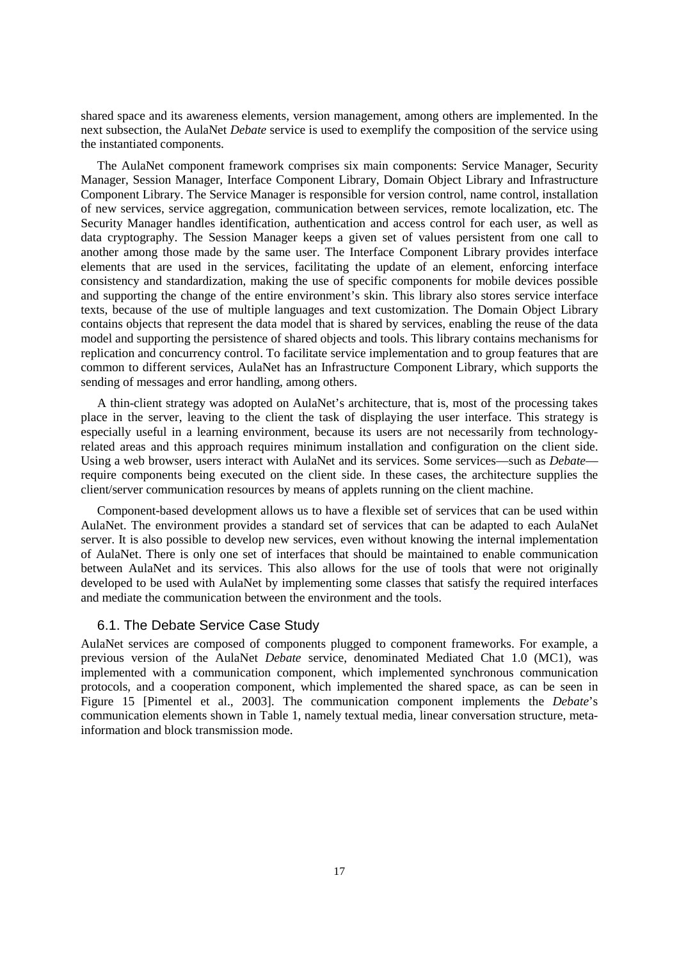shared space and its awareness elements, version management, among others are implemented. In the next subsection, the AulaNet *Debate* service is used to exemplify the composition of the service using the instantiated components.

The AulaNet component framework comprises six main components: Service Manager, Security Manager, Session Manager, Interface Component Library, Domain Object Library and Infrastructure Component Library. The Service Manager is responsible for version control, name control, installation of new services, service aggregation, communication between services, remote localization, etc. The Security Manager handles identification, authentication and access control for each user, as well as data cryptography. The Session Manager keeps a given set of values persistent from one call to another among those made by the same user. The Interface Component Library provides interface elements that are used in the services, facilitating the update of an element, enforcing interface consistency and standardization, making the use of specific components for mobile devices possible and supporting the change of the entire environment's skin. This library also stores service interface texts, because of the use of multiple languages and text customization. The Domain Object Library contains objects that represent the data model that is shared by services, enabling the reuse of the data model and supporting the persistence of shared objects and tools. This library contains mechanisms for replication and concurrency control. To facilitate service implementation and to group features that are common to different services, AulaNet has an Infrastructure Component Library, which supports the sending of messages and error handling, among others.

A thin-client strategy was adopted on AulaNet's architecture, that is, most of the processing takes place in the server, leaving to the client the task of displaying the user interface. This strategy is especially useful in a learning environment, because its users are not necessarily from technologyrelated areas and this approach requires minimum installation and configuration on the client side. Using a web browser, users interact with AulaNet and its services. Some services—such as *Debate* require components being executed on the client side. In these cases, the architecture supplies the client/server communication resources by means of applets running on the client machine.

Component-based development allows us to have a flexible set of services that can be used within AulaNet. The environment provides a standard set of services that can be adapted to each AulaNet server. It is also possible to develop new services, even without knowing the internal implementation of AulaNet. There is only one set of interfaces that should be maintained to enable communication between AulaNet and its services. This also allows for the use of tools that were not originally developed to be used with AulaNet by implementing some classes that satisfy the required interfaces and mediate the communication between the environment and the tools.

#### 6.1. The Debate Service Case Study

AulaNet services are composed of components plugged to component frameworks. For example, a previous version of the AulaNet *Debate* service, denominated Mediated Chat 1.0 (MC1), was implemented with a communication component, which implemented synchronous communication protocols, and a cooperation component, which implemented the shared space, as can be seen in [Figure 15](#page-17-0) [Pimentel et al., 2003]. The communication component implements the *Debate*'s communication elements shown in Table 1, namely textual media, linear conversation structure, metainformation and block transmission mode.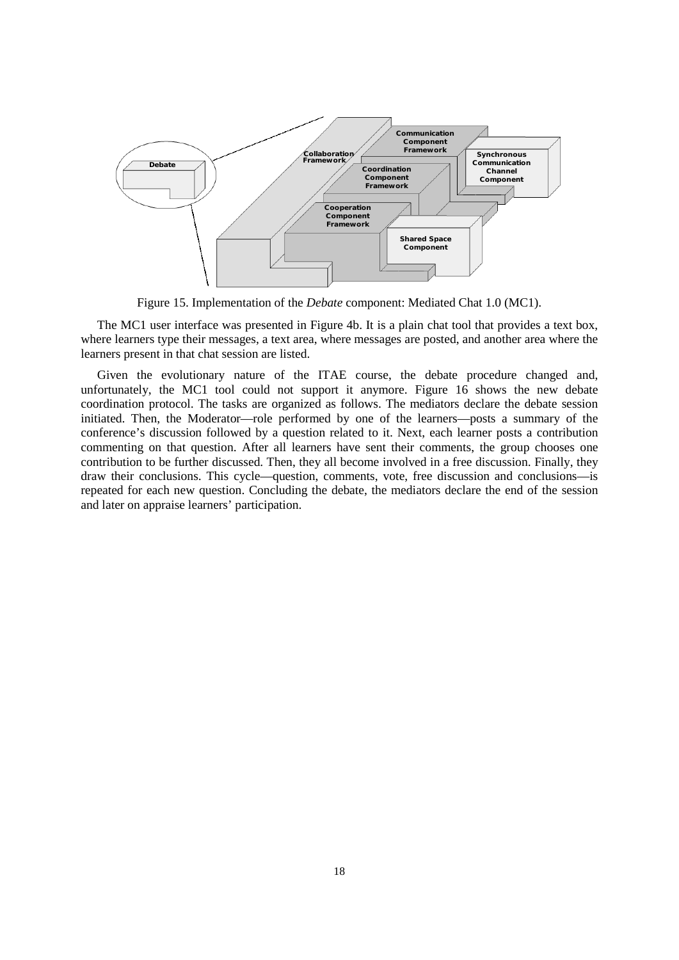

Figure 15. Implementation of the *Debate* component: Mediated Chat 1.0 (MC1).

<span id="page-17-0"></span>The MC1 user interface was presented in [Figure 4b](#page-4-0). It is a plain chat tool that provides a text box, where learners type their messages, a text area, where messages are posted, and another area where the learners present in that chat session are listed.

Given the evolutionary nature of the ITAE course, the debate procedure changed and, unfortunately, the MC1 tool could not support it anymore. [Figure 16](#page-18-0) shows the new debate coordination protocol. The tasks are organized as follows. The mediators declare the debate session initiated. Then, the Moderator—role performed by one of the learners—posts a summary of the conference's discussion followed by a question related to it. Next, each learner posts a contribution commenting on that question. After all learners have sent their comments, the group chooses one contribution to be further discussed. Then, they all become involved in a free discussion. Finally, they draw their conclusions. This cycle—question, comments, vote, free discussion and conclusions—is repeated for each new question. Concluding the debate, the mediators declare the end of the session and later on appraise learners' participation.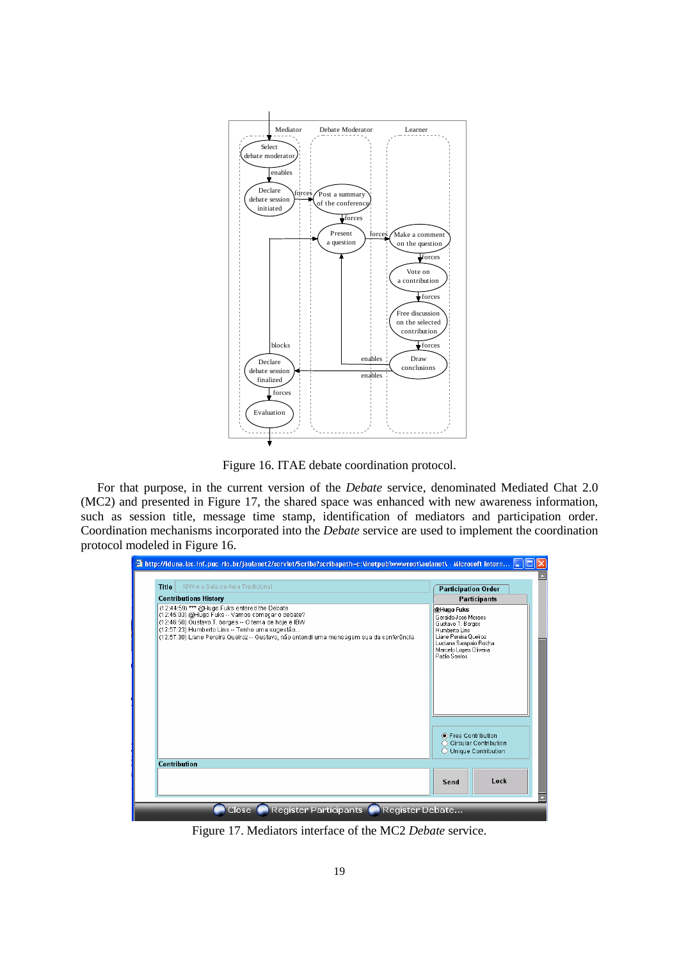

Figure 16. ITAE debate coordination protocol.

<span id="page-18-0"></span>For that purpose, in the current version of the *Debate* service, denominated Mediated Chat 2.0 (MC2) and presented in [Figure 17,](#page-18-1) the shared space was enhanced with new awareness information, such as session title, message time stamp, identification of mediators and participation order. Coordination mechanisms incorporated into the *Debate* service are used to implement the coordination protocol modeled in [Figure 16.](#page-18-0)

<span id="page-18-1"></span>

Figure 17. Mediators interface of the MC2 *Debate* service.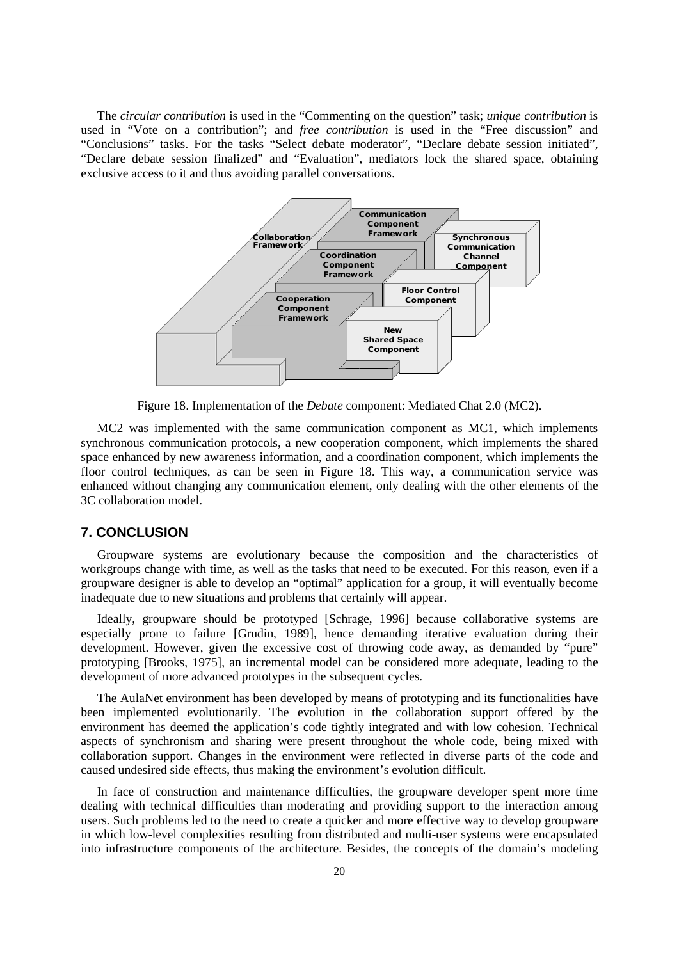The *circular contribution* is used in the "Commenting on the question" task; *unique contribution* is used in "Vote on a contribution"; and *free contribution* is used in the "Free discussion" and "Conclusions" tasks. For the tasks "Select debate moderator", "Declare debate session initiated", "Declare debate session finalized" and "Evaluation", mediators lock the shared space, obtaining exclusive access to it and thus avoiding parallel conversations.



Figure 18. Implementation of the *Debate* component: Mediated Chat 2.0 (MC2).

<span id="page-19-0"></span>MC2 was implemented with the same communication component as MC1, which implements synchronous communication protocols, a new cooperation component, which implements the shared space enhanced by new awareness information, and a coordination component, which implements the floor control techniques, as can be seen in [Figure 18.](#page-19-0) This way, a communication service was enhanced without changing any communication element, only dealing with the other elements of the 3C collaboration model.

## **7. CONCLUSION**

Groupware systems are evolutionary because the composition and the characteristics of workgroups change with time, as well as the tasks that need to be executed. For this reason, even if a groupware designer is able to develop an "optimal" application for a group, it will eventually become inadequate due to new situations and problems that certainly will appear.

Ideally, groupware should be prototyped [Schrage, 1996] because collaborative systems are especially prone to failure [Grudin, 1989], hence demanding iterative evaluation during their development. However, given the excessive cost of throwing code away, as demanded by "pure" prototyping [Brooks, 1975], an incremental model can be considered more adequate, leading to the development of more advanced prototypes in the subsequent cycles.

The AulaNet environment has been developed by means of prototyping and its functionalities have been implemented evolutionarily. The evolution in the collaboration support offered by the environment has deemed the application's code tightly integrated and with low cohesion. Technical aspects of synchronism and sharing were present throughout the whole code, being mixed with collaboration support. Changes in the environment were reflected in diverse parts of the code and caused undesired side effects, thus making the environment's evolution difficult.

In face of construction and maintenance difficulties, the groupware developer spent more time dealing with technical difficulties than moderating and providing support to the interaction among users. Such problems led to the need to create a quicker and more effective way to develop groupware in which low-level complexities resulting from distributed and multi-user systems were encapsulated into infrastructure components of the architecture. Besides, the concepts of the domain's modeling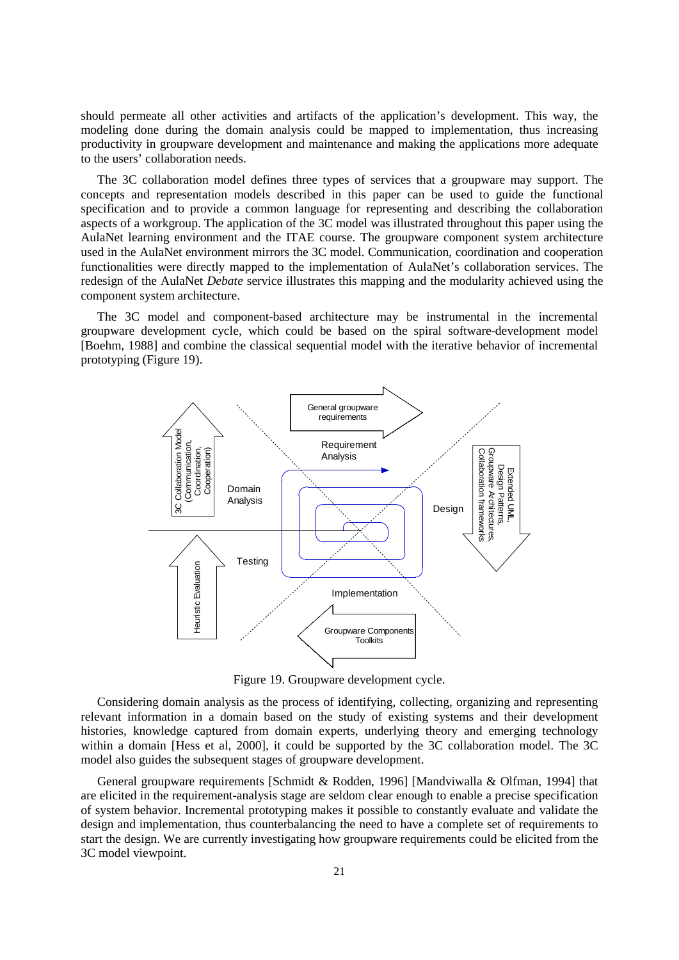should permeate all other activities and artifacts of the application's development. This way, the modeling done during the domain analysis could be mapped to implementation, thus increasing productivity in groupware development and maintenance and making the applications more adequate to the users' collaboration needs.

The 3C collaboration model defines three types of services that a groupware may support. The concepts and representation models described in this paper can be used to guide the functional specification and to provide a common language for representing and describing the collaboration aspects of a workgroup. The application of the 3C model was illustrated throughout this paper using the AulaNet learning environment and the ITAE course. The groupware component system architecture used in the AulaNet environment mirrors the 3C model. Communication, coordination and cooperation functionalities were directly mapped to the implementation of AulaNet's collaboration services. The redesign of the AulaNet *Debate* service illustrates this mapping and the modularity achieved using the component system architecture.

The 3C model and component-based architecture may be instrumental in the incremental groupware development cycle, which could be based on the spiral software-development model [Boehm, 1988] and combine the classical sequential model with the iterative behavior of incremental prototyping [\(Figure 19\)](#page-20-0).



Figure 19. Groupware development cycle.

<span id="page-20-0"></span>Considering domain analysis as the process of identifying, collecting, organizing and representing relevant information in a domain based on the study of existing systems and their development histories, knowledge captured from domain experts, underlying theory and emerging technology within a domain [Hess et al, 2000], it could be supported by the 3C collaboration model. The 3C model also guides the subsequent stages of groupware development.

General groupware requirements [Schmidt & Rodden, 1996] [Mandviwalla & Olfman, 1994] that are elicited in the requirement-analysis stage are seldom clear enough to enable a precise specification of system behavior. Incremental prototyping makes it possible to constantly evaluate and validate the design and implementation, thus counterbalancing the need to have a complete set of requirements to start the design. We are currently investigating how groupware requirements could be elicited from the 3C model viewpoint.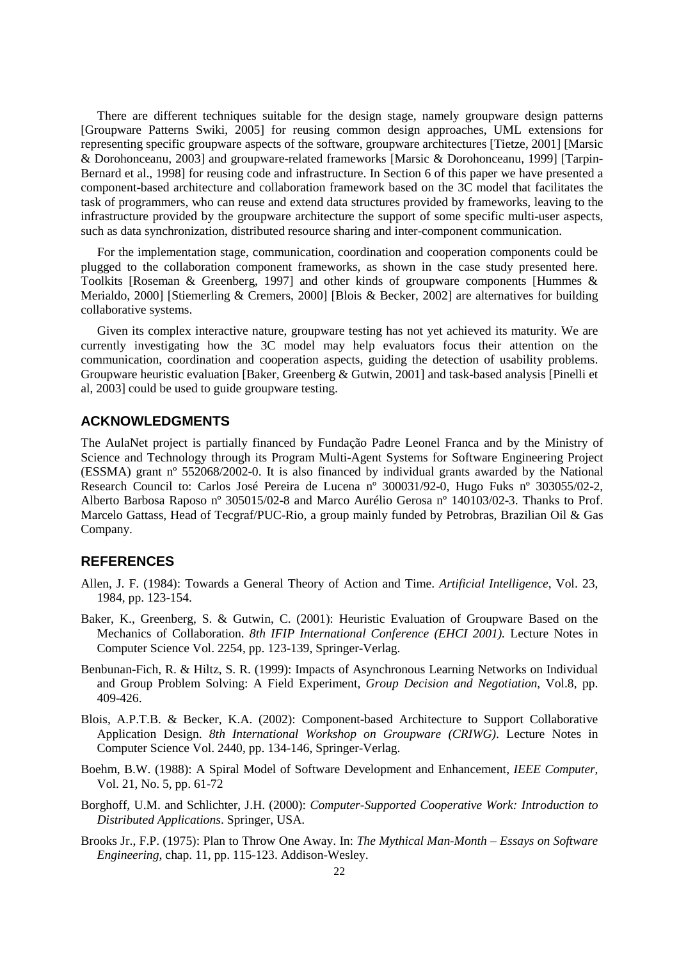There are different techniques suitable for the design stage, namely groupware design patterns [Groupware Patterns Swiki, 2005] for reusing common design approaches, UML extensions for representing specific groupware aspects of the software, groupware architectures [Tietze, 2001] [Marsic & Dorohonceanu, 2003] and groupware-related frameworks [Marsic & Dorohonceanu, 1999] [Tarpin-Bernard et al., 1998] for reusing code and infrastructure. In Section 6 of this paper we have presented a component-based architecture and collaboration framework based on the 3C model that facilitates the task of programmers, who can reuse and extend data structures provided by frameworks, leaving to the infrastructure provided by the groupware architecture the support of some specific multi-user aspects, such as data synchronization, distributed resource sharing and inter-component communication.

For the implementation stage, communication, coordination and cooperation components could be plugged to the collaboration component frameworks, as shown in the case study presented here. Toolkits [Roseman & Greenberg, 1997] and other kinds of groupware components [Hummes & Merialdo, 2000] [Stiemerling & Cremers, 2000] [Blois & Becker, 2002] are alternatives for building collaborative systems.

Given its complex interactive nature, groupware testing has not yet achieved its maturity. We are currently investigating how the 3C model may help evaluators focus their attention on the communication, coordination and cooperation aspects, guiding the detection of usability problems. Groupware heuristic evaluation [Baker, Greenberg & Gutwin, 2001] and task-based analysis [Pinelli et al, 2003] could be used to guide groupware testing.

## **ACKNOWLEDGMENTS**

The AulaNet project is partially financed by Fundação Padre Leonel Franca and by the Ministry of Science and Technology through its Program Multi-Agent Systems for Software Engineering Project (ESSMA) grant nº 552068/2002-0. It is also financed by individual grants awarded by the National Research Council to: Carlos José Pereira de Lucena nº 300031/92-0, Hugo Fuks nº 303055/02-2, Alberto Barbosa Raposo nº 305015/02-8 and Marco Aurélio Gerosa nº 140103/02-3. Thanks to Prof. Marcelo Gattass, Head of Tecgraf/PUC-Rio, a group mainly funded by Petrobras, Brazilian Oil & Gas Company.

# **REFERENCES**

- Allen, J. F. (1984): Towards a General Theory of Action and Time. *Artificial Intelligence*, Vol. 23, 1984, pp. 123-154.
- Baker, K., Greenberg, S. & Gutwin, C. (2001): Heuristic Evaluation of Groupware Based on the Mechanics of Collaboration. *8th IFIP International Conference (EHCI 2001).* Lecture Notes in Computer Science Vol. 2254, pp. 123-139, Springer-Verlag.
- Benbunan-Fich, R. & Hiltz, S. R. (1999): Impacts of Asynchronous Learning Networks on Individual and Group Problem Solving: A Field Experiment, *Group Decision and Negotiation*, Vol.8, pp. 409-426.
- Blois, A.P.T.B. & Becker, K.A. (2002): Component-based Architecture to Support Collaborative Application Design. *8th International Workshop on Groupware (CRIWG)*. Lecture Notes in Computer Science Vol. 2440, pp. 134-146, Springer-Verlag.
- Boehm, B.W. (1988): A Spiral Model of Software Development and Enhancement, *IEEE Computer*, Vol. 21, No. 5, pp. 61-72
- Borghoff, U.M. and Schlichter, J.H. (2000): *Computer-Supported Cooperative Work: Introduction to Distributed Applications*. Springer, USA.
- Brooks Jr., F.P. (1975): Plan to Throw One Away. In: *The Mythical Man-Month – Essays on Software Engineering*, chap. 11, pp. 115-123. Addison-Wesley.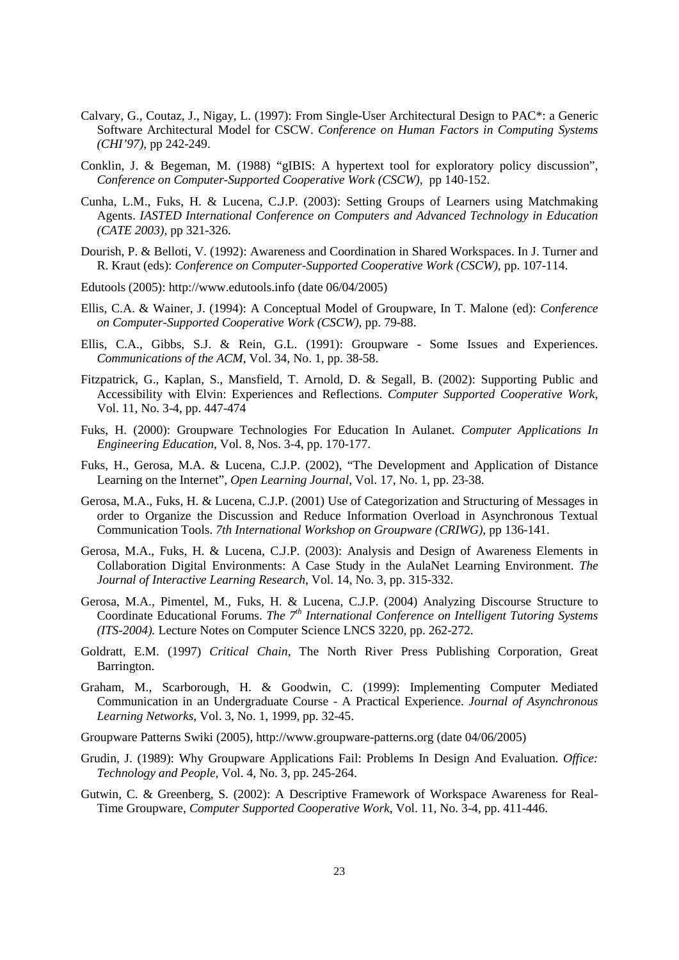- Calvary, G., Coutaz, J., Nigay, L. (1997): From Single-User Architectural Design to PAC\*: a Generic Software Architectural Model for CSCW. *Conference on Human Factors in Computing Systems (CHI'97)*, pp 242-249.
- Conklin, J. & Begeman, M. (1988) "gIBIS: A hypertext tool for exploratory policy discussion", *Conference on Computer-Supported Cooperative Work (CSCW)*, pp 140-152.
- Cunha, L.M., Fuks, H. & Lucena, C.J.P. (2003): [Setting Groups of Learners using Matchmaking](http://ritv.les.inf.puc-rio.br/groupware/publicacoes/cate2003.pdf)  [Agents.](http://ritv.les.inf.puc-rio.br/groupware/publicacoes/cate2003.pdf) *IASTED International Conference on Computers and Advanced Technology in Education (CATE 2003)*, pp 321-326.
- Dourish, P. & Belloti, V. (1992): Awareness and Coordination in Shared Workspaces. In J. Turner and R. Kraut (eds): *Conference on Computer-Supported Cooperative Work (CSCW)*, pp. 107-114.
- Edutools (2005): http://www.edutools.info (date 06/04/2005)
- Ellis, C.A. & Wainer, J. (1994): A Conceptual Model of Groupware, In T. Malone (ed): *Conference on Computer-Supported Cooperative Work (CSCW)*, pp. 79-88.
- Ellis, C.A., Gibbs, S.J. & Rein, G.L. (1991): Groupware Some Issues and Experiences. *Communications of the ACM*, Vol. 34, No. 1, pp. 38-58.
- Fitzpatrick, G., Kaplan, S., Mansfield, T. Arnold, D. & Segall, B. (2002): Supporting Public and Accessibility with Elvin: Experiences and Reflections. *Computer Supported Cooperative Work*, Vol. 11, No. 3-4, pp. 447-474
- Fuks, H. (2000): Groupware Technologies For Education In Aulanet. *Computer Applications In Engineering Education*, Vol. 8, Nos. 3-4, pp. 170-177.
- Fuks, H., Gerosa, M.A. & Lucena, C.J.P. (2002), ["The Development and Application of Distance](http://139.82.35.97/groupware/publicacoes/openlearning.pdf)  [Learning on the Internet"](http://139.82.35.97/groupware/publicacoes/openlearning.pdf), *Open Learning Journal*, Vol. 17, No. 1, pp. 23-38.
- Gerosa, M.A., Fuks, H. & Lucena, C.J.P. (2001) Use of Categorization and Structuring of Messages in order to Organize the Discussion and Reduce Information Overload in Asynchronous Textual Communication Tools. *7th International Workshop on Groupware (CRIWG)*, pp 136-141.
- Gerosa, M.A., Fuks, H. & Lucena, C.J.P. (2003): Analysis and Design of Awareness Elements in Collaboration Digital Environments: A Case Study in the AulaNet Learning Environment. *The Journal of Interactive Learning Research*, Vol. 14, No. 3, pp. 315-332.
- Gerosa, M.A., Pimentel, M., Fuks, H. & Lucena, C.J.P. (2004) Analyzing Discourse Structure to Coordinate Educational Forums. *The 7th International Conference on Intelligent Tutoring Systems (ITS-2004).* Lecture Notes on Computer Science LNCS 3220, pp. 262-272.
- Goldratt, E.M. (1997) *Critical Chain*, The North River Press Publishing Corporation, Great Barrington.
- Graham, M., Scarborough, H. & Goodwin, C. (1999): Implementing Computer Mediated Communication in an Undergraduate Course - A Practical Experience. *Journal of Asynchronous Learning Networks*, Vol. 3, No. 1, 1999, pp. 32-45.
- Groupware Patterns Swiki (2005), http://www.groupware-patterns.org (date 04/06/2005)
- Grudin, J. (1989): Why Groupware Applications Fail: Problems In Design And Evaluation. *Office: Technology and People*, Vol. 4, No. 3, pp. 245-264.
- Gutwin, C. & Greenberg, S. (2002): A Descriptive Framework of Workspace Awareness for Real-Time Groupware, *Computer Supported Cooperative Work*, Vol. 11, No. 3-4, pp. 411-446.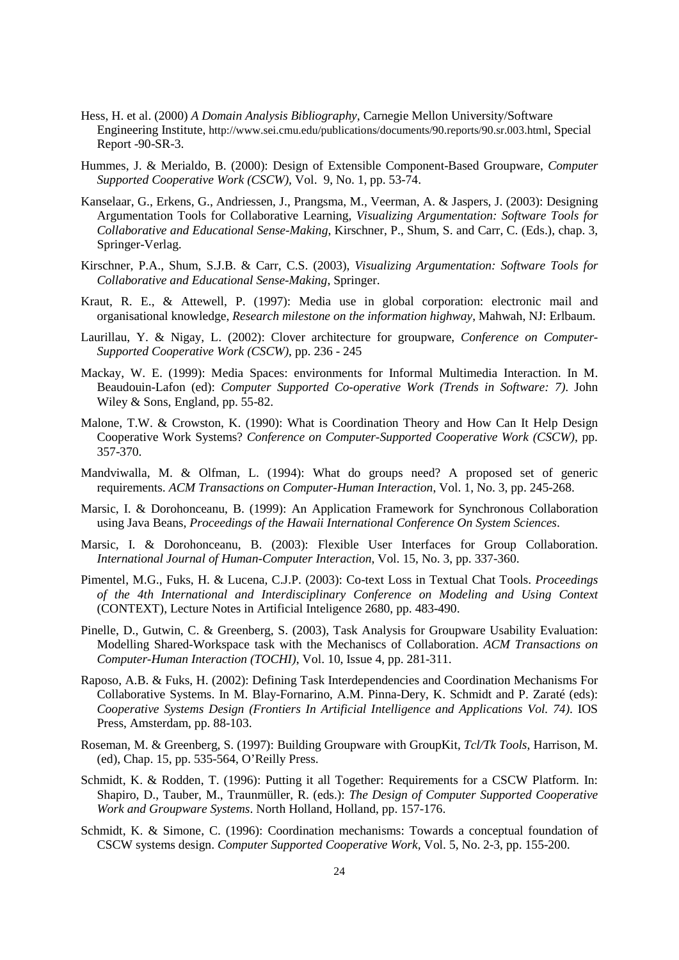- Hess, H. et al. (2000) *A Domain Analysis Bibliography*, Carnegie Mellon University/Software Engineering Institute, http://www.sei.cmu.edu/publications/documents/90.reports/90.sr.003.html, Special Report -90-SR-3.
- Hummes, J. & Merialdo, B. (2000): Design of Extensible Component-Based Groupware, *Computer Supported Cooperative Work (CSCW),* Vol. 9, No. 1, pp. 53-74.
- Kanselaar, G., Erkens, G., Andriessen, J., Prangsma, M., Veerman, A. & Jaspers, J. (2003): Designing Argumentation Tools for Collaborative Learning, *Visualizing Argumentation: Software Tools for Collaborative and Educational Sense-Making*, Kirschner, P., Shum, S. and Carr, C. (Eds.), chap. 3, Springer-Verlag.
- Kirschner, P.A., Shum, S.J.B. & Carr, C.S. (2003), *Visualizing Argumentation: Software Tools for Collaborative and Educational Sense-Making*, Springer.
- Kraut, R. E., & Attewell, P. (1997): Media use in global corporation: electronic mail and organisational knowledge, *Research milestone on the information highway*, Mahwah, NJ: Erlbaum.
- Laurillau, Y. & Nigay, L. (2002): Clover architecture for groupware, *Conference on Computer-Supported Cooperative Work (CSCW)*, pp. 236 - 245
- Mackay, W. E. (1999): Media Spaces: environments for Informal Multimedia Interaction. In M. Beaudouin-Lafon (ed): *Computer Supported Co-operative Work (Trends in Software: 7)*. John Wiley & Sons, England, pp. 55-82.
- Malone, T.W. & Crowston, K. (1990): What is Coordination Theory and How Can It Help Design Cooperative Work Systems? *Conference on Computer-Supported Cooperative Work (CSCW)*, pp. 357-370.
- Mandviwalla, M. & Olfman, L. (1994): What do groups need? A proposed set of generic requirements. *ACM Transactions on Computer-Human Interaction*, Vol. 1, No. 3, pp. 245-268.
- Marsic, I. & Dorohonceanu, B. (1999): An Application Framework for Synchronous Collaboration using Java Beans, *Proceedings of the Hawaii International Conference On System Sciences*.
- Marsic, I. & Dorohonceanu, B. (2003): Flexible User Interfaces for Group Collaboration. *International Journal of Human-Computer Interaction*, Vol. 15, No. 3, pp. 337-360.
- Pimentel, M.G., Fuks, H. & Lucena, C.J.P. (2003): Co-text Loss in Textual Chat Tools. *Proceedings of the 4th International and Interdisciplinary Conference on Modeling and Using Context* (CONTEXT), Lecture Notes in Artificial Inteligence 2680, pp. 483-490.
- Pinelle, D., Gutwin, C. & Greenberg, S. (2003), Task Analysis for Groupware Usability Evaluation: Modelling Shared-Workspace task with the Mechaniscs of Collaboration. *ACM Transactions on Computer-Human Interaction (TOCHI)*, Vol. 10, Issue 4, pp. 281-311.
- Raposo, A.B. & Fuks, H. (2002): Defining Task Interdependencies and Coordination Mechanisms For Collaborative Systems. In M. Blay-Fornarino, A.M. Pinna-Dery, K. Schmidt and P. Zaraté (eds): *Cooperative Systems Design (Frontiers In Artificial Intelligence and Applications Vol. 74)*. IOS Press, Amsterdam, pp. 88-103.
- Roseman, M. & Greenberg, S. (1997): Building Groupware with GroupKit, *Tcl/Tk Tools*, Harrison, M. (ed), Chap. 15, pp. 535-564, O'Reilly Press.
- Schmidt, K. & Rodden, T. (1996): Putting it all Together: Requirements for a CSCW Platform. In: Shapiro, D., Tauber, M., Traunmüller, R. (eds.): *The Design of Computer Supported Cooperative Work and Groupware Systems*. North Holland, Holland, pp. 157-176.
- Schmidt, K. & Simone, C. (1996): Coordination mechanisms: Towards a conceptual foundation of CSCW systems design. *Computer Supported Cooperative Work,* Vol. 5, No. 2-3, pp. 155-200.